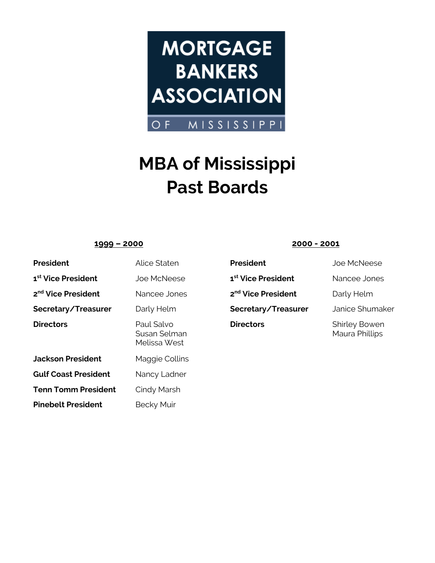

# **MBA of Mississippi Past Boards**

## **1999 – 2000 2000 - 2001**

| <b>President</b>               | Alice Staten                               |
|--------------------------------|--------------------------------------------|
| 1 <sup>st</sup> Vice President | <b>Joe McNeese</b>                         |
| 2 <sup>nd</sup> Vice President | Nancee Jones                               |
| Secretary/Treasurer            | Darly Helm                                 |
| <b>Directors</b>               | Paul Salvo<br>Susan Selman<br>Melissa West |
| <b>Jackson President</b>       | Maggie Collins                             |
| <b>Gulf Coast President</b>    | Nancy Ladner                               |
| <b>Tenn Tomm President</b>     | Cindy Marsh                                |
| <b>Pinebelt President</b>      | <b>Becky Muir</b>                          |

**President** Alice States Joe McNeese **1<sup>st</sup> Vice President Nancee Jones 2<sup>nd</sup> Vice President** Darly Helm **Secretary/Treasurer** Janice Shumaker **Directors** Shirley Bowen

Maura Phillips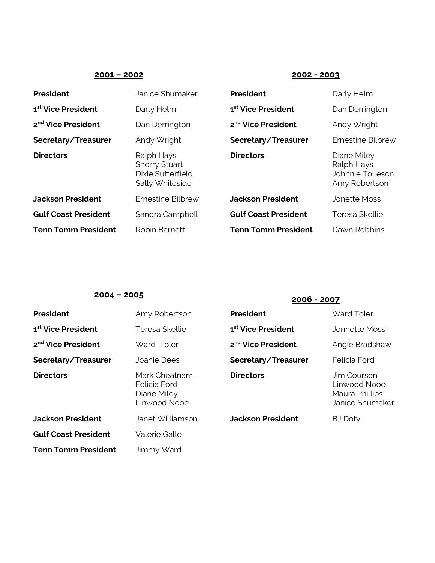## **2001 – 2002 2002 - 2003**

| <b>President</b>               | Janice Shumaker                                                            | <b>President</b>               | Darly Helm                                                     |
|--------------------------------|----------------------------------------------------------------------------|--------------------------------|----------------------------------------------------------------|
| 1 <sup>st</sup> Vice President | Darly Helm                                                                 | 1 <sup>st</sup> Vice President | Dan Derrington                                                 |
| 2 <sup>nd</sup> Vice President | Dan Derrington                                                             | 2 <sup>nd</sup> Vice President | Andy Wright                                                    |
| Secretary/Treasurer            | Andy Wright                                                                | Secretary/Treasurer            | <b>Ernestine Bilbrew</b>                                       |
| <b>Directors</b>               | Ralph Hays<br><b>Sherry Stuart</b><br>Dixie Sutterfield<br>Sally Whiteside | <b>Directors</b>               | Diane Miley<br>Ralph Hays<br>Johnnie Tolleson<br>Amy Robertson |
| <b>Jackson President</b>       | Ernestine Bilbrew                                                          | <b>Jackson President</b>       | <b>Jonette Moss</b>                                            |
| <b>Gulf Coast President</b>    | Sandra Campbell                                                            | <b>Gulf Coast President</b>    | Teresa Skellie                                                 |
| <b>Tenn Tomm President</b>     | Robin Barnett                                                              | <b>Tenn Tomm President</b>     | Dawn Robbins                                                   |

## **2004 – <sup>2005</sup> 2006 - <sup>2007</sup>**

| <b>President</b>               | Amy Robertson                                                | <b>President</b>               | <b>Ward Toler</b>                                                |
|--------------------------------|--------------------------------------------------------------|--------------------------------|------------------------------------------------------------------|
| 1 <sup>st</sup> Vice President | Teresa Skellie                                               | 1 <sup>st</sup> Vice President | Jonnette Moss                                                    |
| 2 <sup>nd</sup> Vice President | Ward Toler                                                   | 2 <sup>nd</sup> Vice President | Angie Bradshaw                                                   |
| Secretary/Treasurer            | Joanie Dees                                                  | Secretary/Treasurer            | Felicia Ford                                                     |
| <b>Directors</b>               | Mark Cheatnam<br>Felicia Ford<br>Diane Miley<br>Linwood Nooe | <b>Directors</b>               | Jim Courson<br>Linwood Nooe<br>Maura Phillips<br>Janice Shumaker |
| <b>Jackson President</b>       | Janet Williamson                                             | <b>Jackson President</b>       | <b>BJ Doty</b>                                                   |
| <b>Gulf Coast President</b>    | <b>Valerie Galle</b>                                         |                                |                                                                  |
| <b>Tenn Tomm President</b>     | Jimmy Ward                                                   |                                |                                                                  |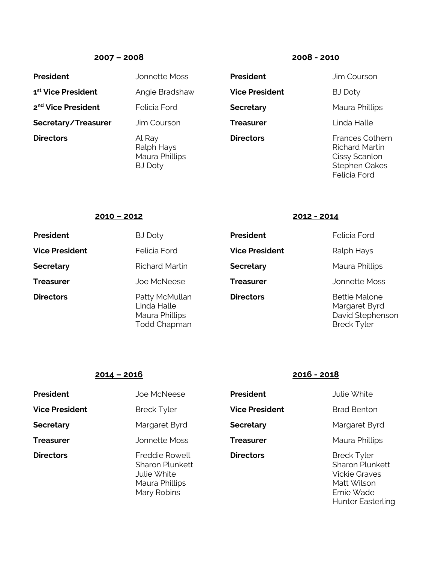## **2007 – 2008 2008 - 2010**

| <b>President</b>               | <b>Jonnette Moss</b>                                                     | <b>President</b>      | Jim Courson                                                                     |
|--------------------------------|--------------------------------------------------------------------------|-----------------------|---------------------------------------------------------------------------------|
| 1 <sup>st</sup> Vice President | Angie Bradshaw                                                           | <b>Vice President</b> | <b>BJ Doty</b>                                                                  |
| 2 <sup>nd</sup> Vice President | <b>Felicia Ford</b>                                                      | <b>Secretary</b>      | Maura Phillips                                                                  |
| Secretary/Treasurer            | Jim Courson                                                              | <b>Treasurer</b>      | Linda Halle                                                                     |
| <b>Directors</b>               | Al Ray<br>Ralph Hays<br>Maura Phillips<br>$D \perp D \rightarrow \cdots$ | <b>Directors</b>      | <b>Frances Cothe</b><br><b>Richard Martin</b><br>Cissy Scanlon<br>Ctophon Oalso |

**Frances Cothern** Richard Martin Cissy Scanlon Stephen Oakes Felicia Ford

### **2010 – 2012 2012 - 2014**

| President             | BJ Doty                                                                |
|-----------------------|------------------------------------------------------------------------|
| <b>Vice President</b> | Felicia Ford                                                           |
| Secretary             | <b>Richard Martin</b>                                                  |
| Treasurer             | Joe McNeese                                                            |
| <b>Directors</b>      | Patty McMullan<br>Linda Halle<br>Maura Phillips<br><b>Todd Chapman</b> |

## **President BJ President BJ President Vice President** Ralph Hays **Secretary** Maura Phillips **Treasurer** Jonnette Moss **Directors** Bettie Malone

Margaret Byrd David Stephenson Breck Tyler

### **2014 – 2016 2016 - 2018**

| <b>President</b>      | Joe McNeese                                                                                     | <b>President</b>      | Julie White                                                                                                                   |
|-----------------------|-------------------------------------------------------------------------------------------------|-----------------------|-------------------------------------------------------------------------------------------------------------------------------|
| <b>Vice President</b> | <b>Breck Tyler</b>                                                                              | <b>Vice President</b> | <b>Brad Benton</b>                                                                                                            |
| <b>Secretary</b>      | Margaret Byrd                                                                                   | <b>Secretary</b>      | Margaret Byrd                                                                                                                 |
| <b>Treasurer</b>      | Jonnette Moss                                                                                   | Treasurer             | Maura Phillips                                                                                                                |
| <b>Directors</b>      | <b>Freddie Rowell</b><br><b>Sharon Plunkett</b><br>Julie White<br>Maura Phillips<br>Mary Robins | <b>Directors</b>      | <b>Breck Tyler</b><br><b>Sharon Plunkett</b><br><b>Vickie Graves</b><br>Matt Wilson<br>Ernie Wade<br><b>Hunter Easterling</b> |